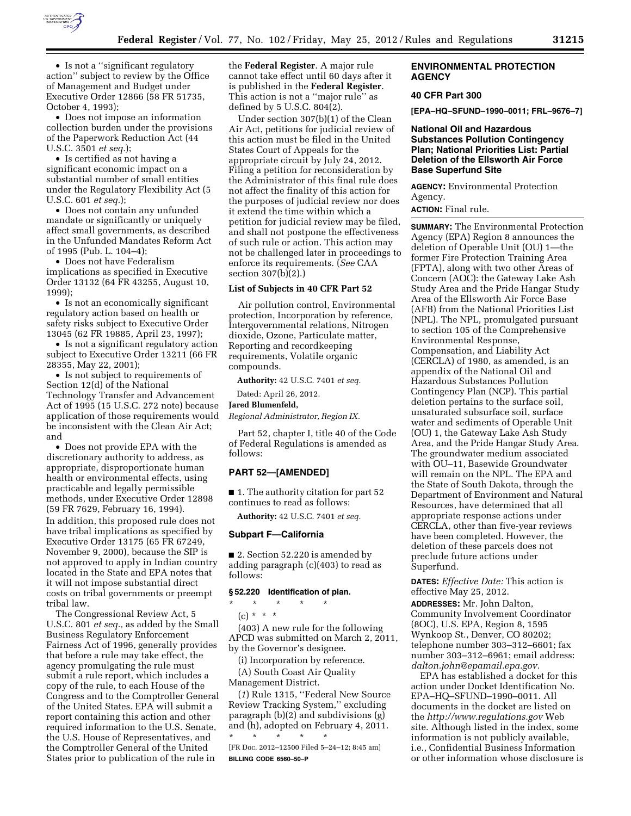

• Is not a ''significant regulatory action'' subject to review by the Office of Management and Budget under Executive Order 12866 (58 FR 51735, October 4, 1993);

• Does not impose an information collection burden under the provisions of the Paperwork Reduction Act (44 U.S.C. 3501 *et seq.*);

• Is certified as not having a significant economic impact on a substantial number of small entities under the Regulatory Flexibility Act (5 U.S.C. 601 *et seq.*);

• Does not contain any unfunded mandate or significantly or uniquely affect small governments, as described in the Unfunded Mandates Reform Act of 1995 (Pub. L. 104–4);

• Does not have Federalism implications as specified in Executive Order 13132 (64 FR 43255, August 10, 1999);

• Is not an economically significant regulatory action based on health or safety risks subject to Executive Order 13045 (62 FR 19885, April 23, 1997);

• Is not a significant regulatory action subject to Executive Order 13211 (66 FR 28355, May 22, 2001);

• Is not subject to requirements of Section 12(d) of the National Technology Transfer and Advancement Act of 1995 (15 U.S.C. 272 note) because application of those requirements would be inconsistent with the Clean Air Act; and

• Does not provide EPA with the discretionary authority to address, as appropriate, disproportionate human health or environmental effects, using practicable and legally permissible methods, under Executive Order 12898 (59 FR 7629, February 16, 1994). In addition, this proposed rule does not have tribal implications as specified by Executive Order 13175 (65 FR 67249,

November 9, 2000), because the SIP is not approved to apply in Indian country located in the State and EPA notes that it will not impose substantial direct costs on tribal governments or preempt tribal law.

The Congressional Review Act, 5 U.S.C. 801 *et seq.,* as added by the Small Business Regulatory Enforcement Fairness Act of 1996, generally provides that before a rule may take effect, the agency promulgating the rule must submit a rule report, which includes a copy of the rule, to each House of the Congress and to the Comptroller General of the United States. EPA will submit a report containing this action and other required information to the U.S. Senate, the U.S. House of Representatives, and the Comptroller General of the United States prior to publication of the rule in

the **Federal Register**. A major rule cannot take effect until 60 days after it is published in the **Federal Register**. This action is not a ''major rule'' as defined by 5 U.S.C. 804(2).

Under section 307(b)(1) of the Clean Air Act, petitions for judicial review of this action must be filed in the United States Court of Appeals for the appropriate circuit by July 24, 2012. Filing a petition for reconsideration by the Administrator of this final rule does not affect the finality of this action for the purposes of judicial review nor does it extend the time within which a petition for judicial review may be filed, and shall not postpone the effectiveness of such rule or action. This action may not be challenged later in proceedings to enforce its requirements. (*See* CAA section 307(b)(2).)

#### **List of Subjects in 40 CFR Part 52**

Air pollution control, Environmental protection, Incorporation by reference, Intergovernmental relations, Nitrogen dioxide, Ozone, Particulate matter, Reporting and recordkeeping requirements, Volatile organic compounds.

**Authority:** 42 U.S.C. 7401 *et seq.* 

Dated: April 26, 2012.

#### **Jared Blumenfeld,**

*Regional Administrator, Region IX.* 

Part 52, chapter I, title 40 of the Code of Federal Regulations is amended as follows:

#### **PART 52—[AMENDED]**

■ 1. The authority citation for part 52 continues to read as follows:

**Authority:** 42 U.S.C. 7401 *et seq.* 

#### **Subpart F—California**

■ 2. Section 52.220 is amended by adding paragraph (c)(403) to read as follows:

#### **§ 52.220 Identification of plan.**

\* \* \* \* \*

(c) \* \* \*

(403) A new rule for the following APCD was submitted on March 2, 2011, by the Governor's designee.

(i) Incorporation by reference. (A) South Coast Air Quality Management District.

(*1*) Rule 1315, ''Federal New Source Review Tracking System,'' excluding paragraph (b)(2) and subdivisions (g) and (h), adopted on February 4, 2011.

\* \* \* \* \* [FR Doc. 2012–12500 Filed 5–24–12; 8:45 am] **BILLING CODE 6560–50–P** 

#### **ENVIRONMENTAL PROTECTION AGENCY**

### **40 CFR Part 300**

**[EPA–HQ–SFUND–1990–0011; FRL–9676–7]** 

### **National Oil and Hazardous Substances Pollution Contingency Plan; National Priorities List: Partial Deletion of the Ellsworth Air Force Base Superfund Site**

**AGENCY:** Environmental Protection Agency.

**ACTION:** Final rule.

**SUMMARY:** The Environmental Protection Agency (EPA) Region 8 announces the deletion of Operable Unit (OU) 1—the former Fire Protection Training Area (FPTA), along with two other Areas of Concern (AOC): the Gateway Lake Ash Study Area and the Pride Hangar Study Area of the Ellsworth Air Force Base (AFB) from the National Priorities List (NPL). The NPL, promulgated pursuant to section 105 of the Comprehensive Environmental Response, Compensation, and Liability Act (CERCLA) of 1980, as amended, is an appendix of the National Oil and Hazardous Substances Pollution Contingency Plan (NCP). This partial deletion pertains to the surface soil, unsaturated subsurface soil, surface water and sediments of Operable Unit (OU) 1, the Gateway Lake Ash Study Area, and the Pride Hangar Study Area. The groundwater medium associated with OU–11, Basewide Groundwater will remain on the NPL. The EPA and the State of South Dakota, through the Department of Environment and Natural Resources, have determined that all appropriate response actions under CERCLA, other than five-year reviews have been completed. However, the deletion of these parcels does not preclude future actions under Superfund.

**DATES:** *Effective Date:* This action is effective May 25, 2012.

**ADDRESSES:** Mr. John Dalton, Community Involvement Coordinator (8OC), U.S. EPA, Region 8, 1595 Wynkoop St., Denver, CO 80202; telephone number 303–312–6601; fax number 303–312–6961; email address: *[dalton.john@epamail.epa.gov.](mailto:dalton.john@epamail.epa.gov)* 

EPA has established a docket for this action under Docket Identification No. EPA–HQ–SFUND–1990–0011. All documents in the docket are listed on the *<http://www.regulations.gov>*Web site. Although listed in the index, some information is not publicly available, i.e., Confidential Business Information or other information whose disclosure is